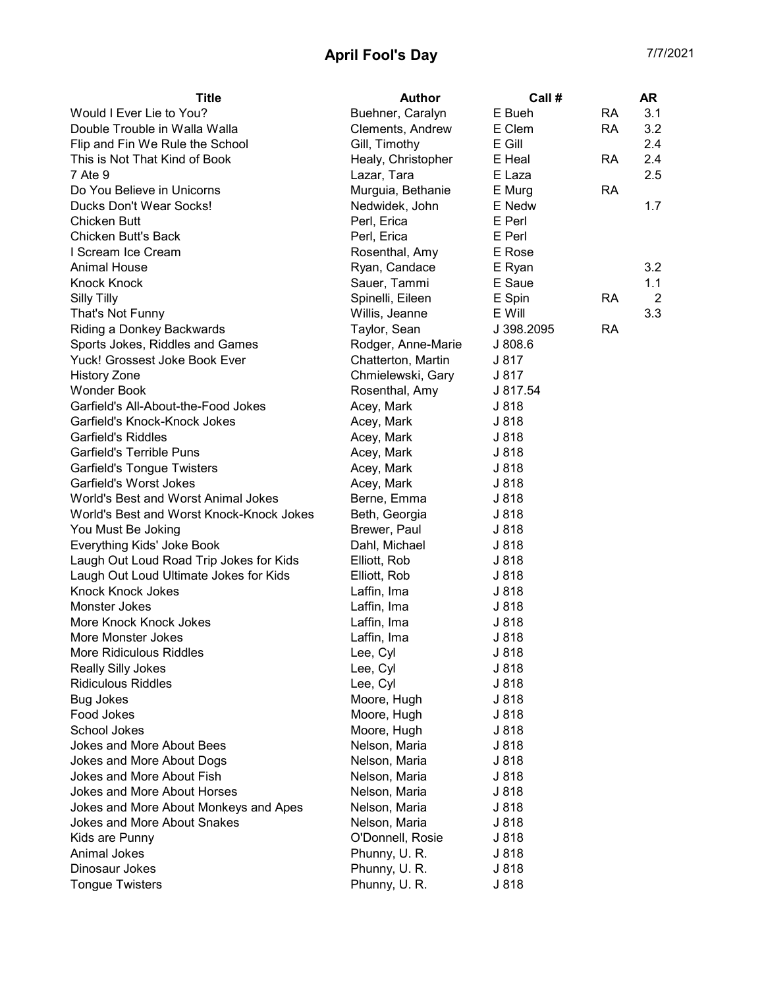## April Fool's Day 7/7/2021

| <b>Title</b>                             | <b>Author</b>      | Call #     |           | <b>AR</b> |
|------------------------------------------|--------------------|------------|-----------|-----------|
| Would I Ever Lie to You?                 | Buehner, Caralyn   | E Bueh     | <b>RA</b> | 3.1       |
| Double Trouble in Walla Walla            | Clements, Andrew   | E Clem     | <b>RA</b> | 3.2       |
| Flip and Fin We Rule the School          | Gill, Timothy      | E Gill     |           | 2.4       |
| This is Not That Kind of Book            | Healy, Christopher | E Heal     | <b>RA</b> | 2.4       |
| 7 Ate 9                                  | Lazar, Tara        | E Laza     |           | 2.5       |
| Do You Believe in Unicorns               | Murguia, Bethanie  | E Murg     | <b>RA</b> |           |
| Ducks Don't Wear Socks!                  | Nedwidek, John     | E Nedw     |           | 1.7       |
| <b>Chicken Butt</b>                      | Perl, Erica        | E Perl     |           |           |
| <b>Chicken Butt's Back</b>               | Perl, Erica        | E Perl     |           |           |
| I Scream Ice Cream                       | Rosenthal, Amy     | E Rose     |           |           |
| <b>Animal House</b>                      | Ryan, Candace      | E Ryan     |           | 3.2       |
| <b>Knock Knock</b>                       | Sauer, Tammi       | E Saue     |           | 1.1       |
| <b>Silly Tilly</b>                       | Spinelli, Eileen   | E Spin     | RA        | 2         |
| That's Not Funny                         | Willis, Jeanne     | E Will     |           | 3.3       |
| Riding a Donkey Backwards                | Taylor, Sean       | J 398.2095 | RA        |           |
| Sports Jokes, Riddles and Games          | Rodger, Anne-Marie | J808.6     |           |           |
| Yuck! Grossest Joke Book Ever            | Chatterton, Martin | J 817      |           |           |
| <b>History Zone</b>                      | Chmielewski, Gary  | J 817      |           |           |
| <b>Wonder Book</b>                       | Rosenthal, Amy     | J 817.54   |           |           |
| Garfield's All-About-the-Food Jokes      | Acey, Mark         | J 818      |           |           |
| Garfield's Knock-Knock Jokes             | Acey, Mark         | J 818      |           |           |
| <b>Garfield's Riddles</b>                | Acey, Mark         | J 818      |           |           |
| <b>Garfield's Terrible Puns</b>          | Acey, Mark         | J 818      |           |           |
| <b>Garfield's Tongue Twisters</b>        | Acey, Mark         | J 818      |           |           |
| Garfield's Worst Jokes                   | Acey, Mark         | J 818      |           |           |
| World's Best and Worst Animal Jokes      | Berne, Emma        | J 818      |           |           |
| World's Best and Worst Knock-Knock Jokes | Beth, Georgia      | J 818      |           |           |
| You Must Be Joking                       | Brewer, Paul       | J 818      |           |           |
| Everything Kids' Joke Book               | Dahl, Michael      | J 818      |           |           |
| Laugh Out Loud Road Trip Jokes for Kids  | Elliott, Rob       | J 818      |           |           |
| Laugh Out Loud Ultimate Jokes for Kids   | Elliott, Rob       | J 818      |           |           |
| <b>Knock Knock Jokes</b>                 | Laffin, Ima        | J 818      |           |           |
| Monster Jokes                            | Laffin, Ima        | J 818      |           |           |
| More Knock Knock Jokes                   | Laffin, Ima        | J 818      |           |           |
| <b>More Monster Jokes</b>                | Laffin, Ima        | J 818      |           |           |
| More Ridiculous Riddles                  | Lee, Cyl           | J 818      |           |           |
| <b>Really Silly Jokes</b>                | Lee, Cyl           | J 818      |           |           |
| <b>Ridiculous Riddles</b>                | Lee, Cyl           | J 818      |           |           |
| <b>Bug Jokes</b>                         | Moore, Hugh        | J 818      |           |           |
| Food Jokes                               | Moore, Hugh        | J 818      |           |           |
| School Jokes                             | Moore, Hugh        | J 818      |           |           |
| Jokes and More About Bees                | Nelson, Maria      | J 818      |           |           |
| Jokes and More About Dogs                | Nelson, Maria      | J 818      |           |           |
| Jokes and More About Fish                | Nelson, Maria      | J 818      |           |           |
| Jokes and More About Horses              | Nelson, Maria      | J 818      |           |           |
| Jokes and More About Monkeys and Apes    | Nelson, Maria      | J 818      |           |           |
| Jokes and More About Snakes              | Nelson, Maria      | J 818      |           |           |
| Kids are Punny                           | O'Donnell, Rosie   | J 818      |           |           |
| Animal Jokes                             | Phunny, U.R.       | J 818      |           |           |
| Dinosaur Jokes                           | Phunny, U.R.       | J 818      |           |           |
| <b>Tongue Twisters</b>                   | Phunny, U.R.       | J 818      |           |           |
|                                          |                    |            |           |           |